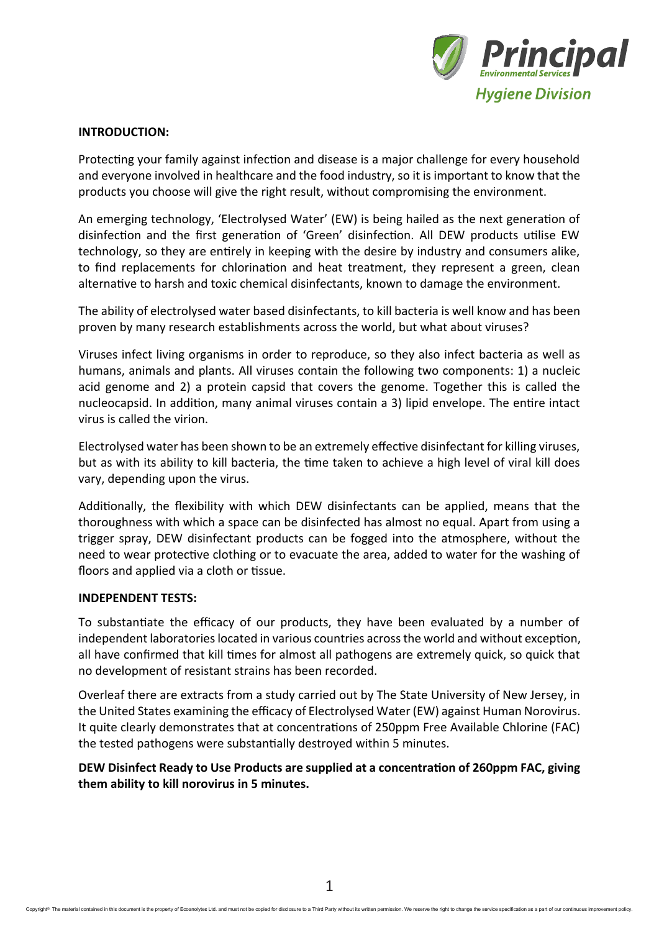

## **INTRODUCTION:**

Protecting your family against infection and disease is a major challenge for every household and everyone involved in healthcare and the food industry, so it is important to know that the products you choose will give the right result, without compromising the environment.

An emerging technology, 'Electrolysed Water' (EW) is being hailed as the next generation of disinfection and the first generation of 'Green' disinfection. All DEW products utilise EW technology, so they are entirely in keeping with the desire by industry and consumers alike, to find replacements for chlorination and heat treatment, they represent a green, clean alternative to harsh and toxic chemical disinfectants, known to damage the environment.

The ability of electrolysed water based disinfectants, to kill bacteria is well know and has been proven by many research establishments across the world, but what about viruses?

Viruses infect living organisms in order to reproduce, so they also infect bacteria as well as humans, animals and plants. All viruses contain the following two components: 1) a nucleic acid genome and 2) a protein capsid that covers the genome. Together this is called the nucleocapsid. In addition, many animal viruses contain a 3) lipid envelope. The entire intact virus is called the virion.

Electrolysed water has been shown to be an extremely effective disinfectant for killing viruses, but as with its ability to kill bacteria, the time taken to achieve a high level of viral kill does vary, depending upon the virus.

Additionally, the flexibility with which DEW disinfectants can be applied, means that the thoroughness with which a space can be disinfected has almost no equal. Apart from using a trigger spray, DEW disinfectant products can be fogged into the atmosphere, without the need to wear protective clothing or to evacuate the area, added to water for the washing of floors and applied via a cloth or tissue.

## **INDEPENDENT TESTS:**

To substantiate the efficacy of our products, they have been evaluated by a number of independent laboratories located in various countries across the world and without exception, all have confirmed that kill times for almost all pathogens are extremely quick, so quick that no development of resistant strains has been recorded.

Overleaf there are extracts from a study carried out by The State University of New Jersey, in the United States examining the efficacy of Electrolysed Water (EW) against Human Norovirus. It quite clearly demonstrates that at concentrations of 250ppm Free Available Chlorine (FAC) the tested pathogens were substantially destroyed within 5 minutes.

**DEW Disinfect Ready to Use Products are supplied at a concentration of 260ppm FAC, giving them ability to kill norovirus in 5 minutes.**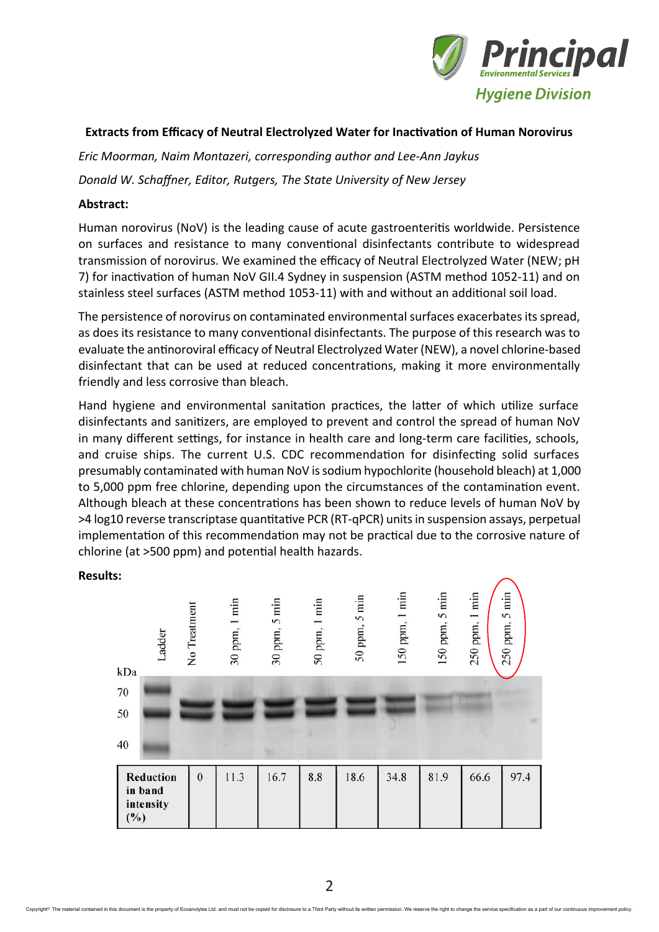

# **Extracts from Efficacy of Neutral Electrolyzed Water for Inactivation of Human Norovirus**

*Eric Moorman, Naim Montazeri, corresponding author and Lee-Ann Jaykus*

*Donald W. Schaffner, Editor, Rutgers, The State University of New Jersey*

# **Abstract:**

Human norovirus (NoV) is the leading cause of acute gastroenteritis worldwide. Persistence on surfaces and resistance to many conventional disinfectants contribute to widespread transmission of norovirus. We examined the efficacy of Neutral Electrolyzed Water (NEW; pH 7) for inactivation of human NoV GII.4 Sydney in suspension (ASTM method 1052-11) and on stainless steel surfaces (ASTM method 1053-11) with and without an additional soil load.

The persistence of norovirus on contaminated environmental surfaces exacerbates its spread, as does its resistance to many conventional disinfectants. The purpose of this research was to evaluate the antinoroviral efficacy of Neutral Electrolyzed Water (NEW), a novel chlorine-based disinfectant that can be used at reduced concentrations, making it more environmentally friendly and less corrosive than bleach.

Hand hygiene and environmental sanitation practices, the latter of which utilize surface disinfectants and sanitizers, are employed to prevent and control the spread of human NoV in many different settings, for instance in health care and long-term care facilities, schools, and cruise ships. The current U.S. CDC recommendation for disinfecting solid surfaces presumably contaminated with human NoV issodium hypochlorite (household bleach) at 1,000 to 5,000 ppm free chlorine, depending upon the circumstances of the contamination event. Although bleach at these concentrations has been shown to reduce levels of human NoV by >4 log10 reverse transcriptase quantitative PCR (RT-qPCR) units in suspension assays, perpetual implementation of this recommendation may not be practical due to the corrosive nature of chlorine (at >500 ppm) and potential health hazards.



## **Results:**